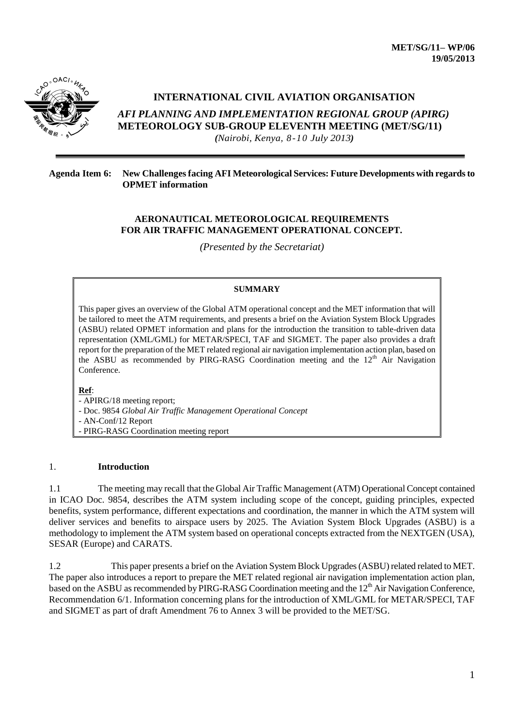

# **INTERNATIONAL CIVIL AVIATION ORGANISATION**

*AFI PLANNING AND IMPLEMENTATION REGIONAL GROUP (APIRG)* **METEOROLOGY SUB-GROUP ELEVENTH MEETING (MET/SG/11)** 

*(Nairobi, Kenya, 8-10 July 2013)*

#### **Agenda Item 6: New Challenges facing AFI Meteorological Services: Future Developments with regards to OPMET information**

### **AERONAUTICAL METEOROLOGICAL REQUIREMENTS FOR AIR TRAFFIC MANAGEMENT OPERATIONAL CONCEPT.**

*(Presented by the Secretariat)*

#### **SUMMARY**

This paper gives an overview of the Global ATM operational concept and the MET information that will be tailored to meet the ATM requirements, and presents a brief on the Aviation System Block Upgrades (ASBU) related OPMET information and plans for the introduction the transition to table-driven data representation (XML/GML) for METAR/SPECI, TAF and SIGMET. The paper also provides a draft report for the preparation of the MET related regional air navigation implementation action plan, based on the ASBU as recommended by PIRG-RASG Coordination meeting and the  $12<sup>th</sup>$  Air Navigation Conference.

#### **Ref**:

- APIRG/18 meeting report; - Doc. 9854 *Global Air Traffic Management Operational Concept* - AN-Conf/12 Report - PIRG-RASG Coordination meeting report

### 1. **Introduction**

1.1 The meeting may recall that the Global Air Traffic Management (ATM) Operational Concept contained in ICAO Doc. 9854, describes the ATM system including scope of the concept, guiding principles, expected benefits, system performance, different expectations and coordination, the manner in which the ATM system will deliver services and benefits to airspace users by 2025. The Aviation System Block Upgrades (ASBU) is a methodology to implement the ATM system based on operational concepts extracted from the NEXTGEN (USA), SESAR (Europe) and CARATS.

1.2 This paper presents a brief on the Aviation System Block Upgrades (ASBU) related related to MET. The paper also introduces a report to prepare the MET related regional air navigation implementation action plan, based on the ASBU as recommended by PIRG-RASG Coordination meeting and the 12<sup>th</sup> Air Navigation Conference, Recommendation 6/1. Information concerning plans for the introduction of XML/GML for METAR/SPECI, TAF and SIGMET as part of draft Amendment 76 to Annex 3 will be provided to the MET/SG.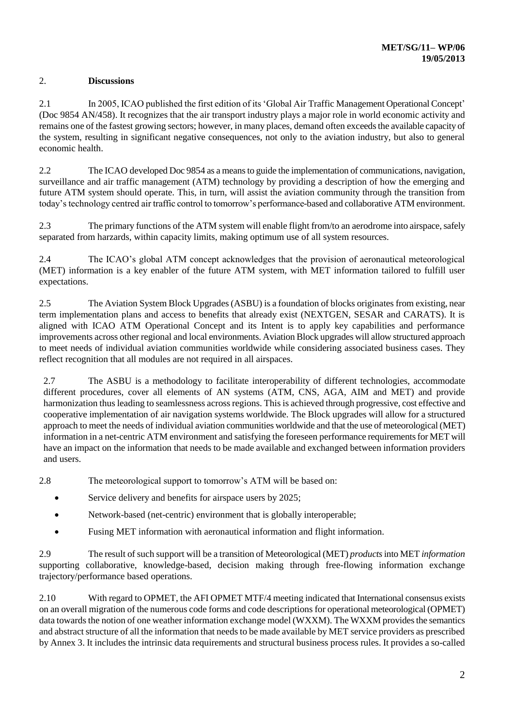## 2. **Discussions**

2.1 In 2005, ICAO published the first edition of its 'Global Air Traffic Management Operational Concept' (Doc 9854 AN/458). It recognizes that the air transport industry plays a major role in world economic activity and remains one of the fastest growing sectors; however, in many places, demand often exceeds the available capacity of the system, resulting in significant negative consequences, not only to the aviation industry, but also to general economic health.

2.2 The ICAO developed Doc 9854 as a means to guide the implementation of communications, navigation, surveillance and air traffic management (ATM) technology by providing a description of how the emerging and future ATM system should operate. This, in turn, will assist the aviation community through the transition from today's technology centred air traffic control to tomorrow's performance-based and collaborative ATM environment.

2.3 The primary functions of the ATM system will enable flight from/to an aerodrome into airspace, safely separated from harzards, within capacity limits, making optimum use of all system resources.

2.4 The ICAO's global ATM concept acknowledges that the provision of aeronautical meteorological (MET) information is a key enabler of the future ATM system, with MET information tailored to fulfill user expectations.

2.5 The Aviation System Block Upgrades (ASBU) is a foundation of blocks originates from existing, near term implementation plans and access to benefits that already exist (NEXTGEN, SESAR and CARATS). It is aligned with ICAO ATM Operational Concept and its Intent is to apply key capabilities and performance improvements across other regional and local environments. Aviation Block upgrades will allow structured approach to meet needs of individual aviation communities worldwide while considering associated business cases. They reflect recognition that all modules are not required in all airspaces.

2.7 The ASBU is a methodology to facilitate interoperability of different technologies, accommodate different procedures, cover all elements of AN systems (ATM, CNS, AGA, AIM and MET) and provide harmonization thus leading to seamlessness across regions. This is achieved through progressive, cost effective and cooperative implementation of air navigation systems worldwide. The Block upgrades will allow for a structured approach to meet the needs of individual aviation communities worldwide and that the use of meteorological (MET) information in a net-centric ATM environment and satisfying the foreseen performance requirements for MET will have an impact on the information that needs to be made available and exchanged between information providers and users.

2.8 The meteorological support to tomorrow's ATM will be based on:

- Service delivery and benefits for airspace users by 2025;
- Network-based (net-centric) environment that is globally interoperable;
- Fusing MET information with aeronautical information and flight information.

2.9 The result of such support will be a transition of Meteorological (MET) *products*into MET *information*  supporting collaborative, knowledge-based, decision making through free-flowing information exchange trajectory/performance based operations.

2.10 With regard to OPMET, the AFI OPMET MTF/4 meeting indicated that International consensus exists on an overall migration of the numerous code forms and code descriptions for operational meteorological (OPMET) data towards the notion of one weather information exchange model (WXXM). The WXXM provides the semantics and abstract structure of all the information that needs to be made available by MET service providers as prescribed by Annex 3. It includes the intrinsic data requirements and structural business process rules. It provides a so-called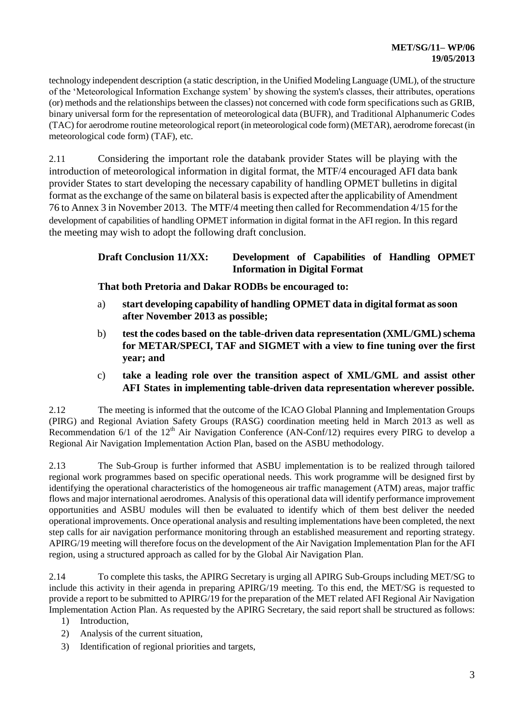technology independent description (a static description, in the Unified Modeling Language (UML), of the structure of the 'Meteorological Information Exchange system' by showing the system's classes, their attributes, operations (or) methods and the relationships between the classes) not concerned with code form specifications such as GRIB, binary universal form for the representation of meteorological data (BUFR), and Traditional Alphanumeric Codes (TAC) for aerodrome routine meteorological report (in meteorological code form) (METAR), aerodrome forecast (in meteorological code form) (TAF), etc.

2.11 Considering the important role the databank provider States will be playing with the introduction of meteorological information in digital format, the MTF/4 encouraged AFI data bank provider States to start developing the necessary capability of handling OPMET bulletins in digital format as the exchange of the same on bilateral basis is expected after the applicability of Amendment 76 to Annex 3 in November 2013. The MTF/4 meeting then called for Recommendation 4/15 for the development of capabilities of handling OPMET information in digital format in the AFI region. In this regard the meeting may wish to adopt the following draft conclusion.

# **Draft Conclusion 11/XX: Development of Capabilities of Handling OPMET Information in Digital Format**

**That both Pretoria and Dakar RODBs be encouraged to:**

- a) **start developing capability of handling OPMET data in digital format as soon after November 2013 as possible;**
- b) **test the codes based on the table-driven data representation (XML/GML) schema for METAR/SPECI, TAF and SIGMET with a view to fine tuning over the first year; and**
- c) **take a leading role over the transition aspect of XML/GML and assist other AFI States in implementing table-driven data representation wherever possible.**

2.12 The meeting is informed that the outcome of the ICAO Global Planning and Implementation Groups (PIRG) and Regional Aviation Safety Groups (RASG) coordination meeting held in March 2013 as well as Recommendation  $6/1$  of the  $12<sup>th</sup>$  Air Navigation Conference (AN-Conf/12) requires every PIRG to develop a Regional Air Navigation Implementation Action Plan, based on the ASBU methodology.

2.13 The Sub-Group is further informed that ASBU implementation is to be realized through tailored regional work programmes based on specific operational needs. This work programme will be designed first by identifying the operational characteristics of the homogeneous air traffic management (ATM) areas, major traffic flows and major international aerodromes. Analysis of this operational data will identify performance improvement opportunities and ASBU modules will then be evaluated to identify which of them best deliver the needed operational improvements. Once operational analysis and resulting implementations have been completed, the next step calls for air navigation performance monitoring through an established measurement and reporting strategy. APIRG/19 meeting will therefore focus on the development of the Air Navigation Implementation Plan for the AFI region, using a structured approach as called for by the Global Air Navigation Plan.

2.14 To complete this tasks, the APIRG Secretary is urging all APIRG Sub-Groups including MET/SG to include this activity in their agenda in preparing APIRG/19 meeting. To this end, the MET/SG is requested to provide a report to be submitted to APIRG/19 for the preparation of the MET related AFI Regional Air Navigation Implementation Action Plan. As requested by the APIRG Secretary, the said report shall be structured as follows:

- 1) Introduction,
- 2) Analysis of the current situation,
- 3) Identification of regional priorities and targets,